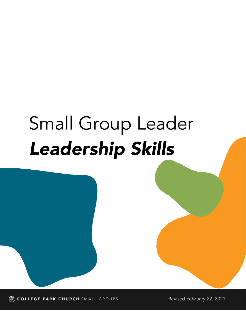# Small Group Leader *Leadership Skills*

COLLEGE PARK CHURCH SMALL GROUPS

Revised February 22, 2021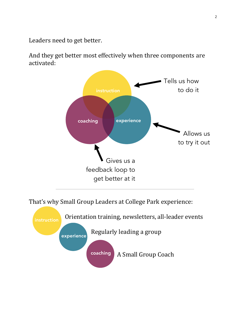Leaders need to get better.

And they get better most effectively when three components are activated:



That's why Small Group Leaders at College Park experience:

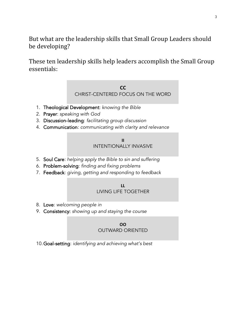But what are the leadership skills that Small Group Leaders should be developing?

These ten leadership skills help leaders accomplish the Small Group essentials:

#### **CC** CHRIST-CENTERED FOCUS ON THE WORD

- 1. Theological Development: *knowing the Bible*
- 2. Prayer: *speaking with God*
- 3. Discussion-leading: *facilitating group discussion*
- 4. Communication: *communicating with clarity and relevance*

#### **II** INTENTIONALLY INVASIVE

- 5. Soul Care: *helping apply the Bible to sin and suffering*
- 6. Problem-solving: *finding and fixing problems*
- 7. Feedback: *giving, getting and responding to feedback*

#### **LL** LIVING LIFE TOGETHER

- 8. Love: *welcoming people in*
- 9. Consistency: *showing up and staying the course*

#### **OO** OUTWARD ORIENTED

10.Goal-setting: *identifying and achieving what's best*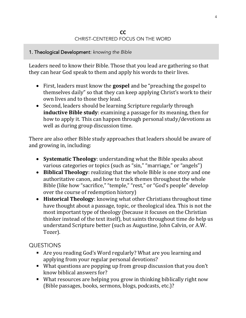#### **CC** CHRIST-CENTERED FOCUS ON THE WORD

#### 1. Theological Development: *knowing the Bible*

Leaders need to know their Bible. Those that you lead are gathering so that they can hear God speak to them and apply his words to their lives.

- First, leaders must know the **gospel** and be "preaching the gospel to themselves daily" so that they can keep applying Christ's work to their own lives and to those they lead.
- Second, leaders should be learning Scripture regularly through **inductive Bible study**: examining a passage for its meaning, then for how to apply it. This can happen through personal study/devotions as well as during group discussion time.

There are also other Bible study approaches that leaders should be aware of and growing in, including:

- **Systematic Theology**: understanding what the Bible speaks about various categories or topics (such as "sin," "marriage," or "angels")
- **Biblical Theology**: realizing that the whole Bible is one story and one authoritative canon, and how to track themes throughout the whole Bible (like how "sacrifice," "temple," "rest," or "God's people" develop over the course of redemption history)
- **Historical Theology**: knowing what other Christians throughout time have thought about a passage, topic, or theological idea. This is not the most important type of theology (because it focuses on the Christian thinker instead of the text itself), but saints throughout time do help us understand Scripture better (such as Augustine, John Calvin, or A.W. Tozer).

# QUESTIONS

- Are you reading God's Word regularly? What are you learning and applying from your regular personal devotions?
- What questions are popping up from group discussion that you don't know biblical answers for?
- What resources are helping you grow in thinking biblically right now (Bible passages, books, sermons, blogs, podcasts, etc.)?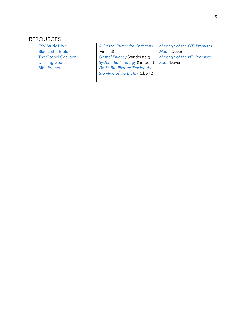| <b>ESV Study Bible</b>      | A Gospel Primer for Christians          | Message of the OT: Promises |
|-----------------------------|-----------------------------------------|-----------------------------|
| <b>Blue Letter Bible</b>    | (Vincent)                               | Made (Dever)                |
| <b>The Gospel Coalition</b> | <b>Gospel Fluency (Vanderstelt)</b>     | Message of the NT: Promises |
| <b>Desiring God</b>         | <b>Systematic Theology (Grudem)</b>     | Kept (Dever)                |
| <b>BibleProject</b>         | <b>God's Big Picture: Tracing the</b>   |                             |
|                             | <b>Storyline of the Bible (Roberts)</b> |                             |
|                             |                                         |                             |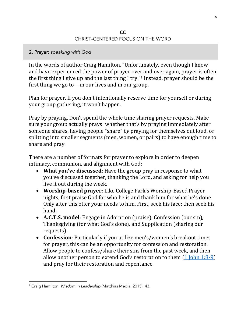#### **CC** CHRIST-CENTERED FOCUS ON THE WORD

#### 2. Prayer: *speaking with God*

In the words of author Craig Hamilton, "Unfortunately, even though I know and have experienced the power of prayer over and over again, prayer is often the first thing I give up and the last thing I try." <sup>1</sup> Instead, prayer should be the first thing we go to—in our lives and in our group.

Plan for prayer. If you don't intentionally reserve time for yourself or during your group gathering, it won't happen.

Pray by praying. Don't spend the whole time sharing prayer requests. Make sure your group actually prays: whether that's by praying immediately after someone shares, having people "share" *by* praying for themselves out loud, or splitting into smaller segments (men, women, or pairs) to have enough time to share and pray.

There are a number of formats for prayer to explore in order to deepen intimacy, communion, and alignment with God:

- **What you've discussed**: Have the group pray in response to what you've discussed together, thanking the Lord, and asking for help you live it out during the week.
- **Worship-based prayer**: Like College Park's Worship-Based Prayer nights, first praise God for who he is and thank him for what he's done. Only after this offer your needs to him. First, seek his face; then seek his hand.
- **A.C.T.S. model**: Engage in Adoration (praise), Confession (our sin), Thanksgiving (for what God's done), and Supplication (sharing our requests).
- **Confession**: Particularly if you utilize men's/women's breakout times for prayer, this can be an opportunity for confession and restoration. Allow people to confess/share their sins from the past week, and then allow another person to extend God's restoration to them  $(1$  John 1:8-9) and pray for their restoration and repentance.

<sup>1</sup> Craig Hamilton, *Wisdom in Leadership* (Matthias Media, 2015), 43.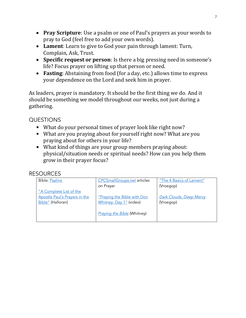- **Pray Scripture**: Use a psalm or one of Paul's prayers as your words to pray to God (feel free to add your own words).
- **Lament**: Learn to give to God your pain through lament: Turn, Complain, Ask, Trust.
- **Specific request or person**: Is there a big pressing need in someone's life? Focus prayer on lifting up that person or need.
- **Fasting**: Abstaining from food (for a day, etc.) allows time to express your dependence on the Lord and seek him in prayer.

As leaders, prayer is mandatory. It should be the first thing we do. And it should be something we model throughout our weeks, not just during a gathering.

# QUESTIONS

- What do your personal times of prayer look like right now?
- What are you praying about for yourself right now? What are you praying about for others in your life?
- What kind of things are your group members praying about: physical/situation needs or spiritual needs? How can you help them grow in their prayer focus?

| <b>Bible: Psalms</b>          | <b>CPCSmallGroups.net articles</b> | "The 4 Basics of Lament" |
|-------------------------------|------------------------------------|--------------------------|
|                               | on Prayer                          | (Vroegop)                |
| "A Complete List of the       |                                    |                          |
| Apostle Paul's Prayers in the | "Praying the Bible with Don        | Dark Clouds, Deep Mercy  |
| Bible" (Halloran)             | Whitney: Day 1" (video)            | (Vroegop)                |
|                               |                                    |                          |
|                               | <b>Praying the Bible (Whitney)</b> |                          |
|                               |                                    |                          |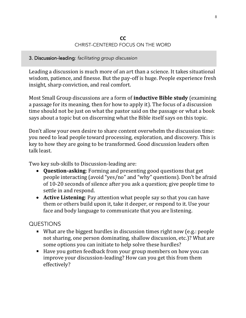#### **CC** CHRIST-CENTERED FOCUS ON THE WORD

### 3. Discussion-leading: *facilitating group discussion*

Leading a discussion is much more of an art than a science. It takes situational wisdom, patience, and finesse. But the pay-off is huge. People experience fresh insight, sharp conviction, and real comfort.

Most Small Group discussions are a form of **inductive Bible study** (examining a passage for its meaning, then for how to apply it). The focus of a discussion time should not be just on what the pastor said on the passage or what a book says about a topic but on discerning what the Bible itself says on this topic.

Don't allow your own desire to share content overwhelm the discussion time: you need to lead people toward processing, exploration, and discovery. This is key to how they are going to be transformed. Good discussion leaders often talk least.

Two key sub-skills to Discussion-leading are:

- **Question-asking**: Forming and presenting good questions that get people interacting (avoid "yes/no" and "why" questions). Don't be afraid of 10-20 seconds of silence after you ask a question; give people time to settle in and respond.
- **Active Listening**: Pay attention what people say so that you can have them or others build upon it, take it deeper, or respond to it. Use your face and body language to communicate that you are listening.

# QUESTIONS

- What are the biggest hurdles in discussion times right now (e.g.: people not sharing, one person dominating, shallow discussion, etc.)? What are some options you can initiate to help solve these hurdles?
- Have you gotten feedback from your group members on how you can improve your discussion-leading? How can you get this from them effectively?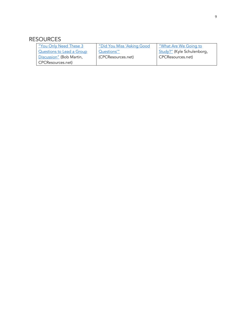| <u>"You Only Need These 3</u>    | "Did You Miss 'Asking Good | <u>"What Are We Going to</u> |
|----------------------------------|----------------------------|------------------------------|
| <b>Questions to Lead a Group</b> | Questions'"                | Study?" (Kyle Schulenborg,   |
| Discussion" (Bob Martin,         | (CPCResources.net)         | CPCResources.net)            |
| CPCResources.net)                |                            |                              |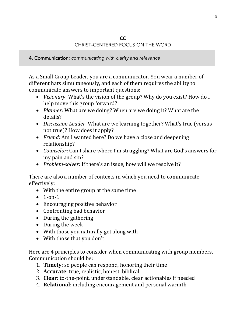#### **CC** CHRIST-CENTERED FOCUS ON THE WORD

4. Communication: *communicating with clarity and relevance*

As a Small Group Leader, you are a communicator. You wear a number of different hats simultaneously, and each of them requires the ability to communicate answers to important questions:

- *Visionary*: What's the vision of the group? Why do you exist? How do I help move this group forward?
- *Planner*: What are we doing? When are we doing it? What are the details?
- *Discussion Leader*: What are we learning together? What's true (versus not true)? How does it apply?
- *Friend*: Am I wanted here? Do we have a close and deepening relationship?
- *Counselor*: Can I share where I'm struggling? What are God's answers for my pain and sin?
- *Problem-solver*: If there's an issue, how will we resolve it?

There are also a number of contexts in which you need to communicate effectively:

- With the entire group at the same time
- $\bullet$  1-on-1
- Encouraging positive behavior
- Confronting bad behavior
- During the gathering
- During the week
- With those you naturally get along with
- With those that you don't

Here are 4 principles to consider when communicating with group members. Communication should be:

- 1. **Timely**: so people can respond, honoring their time
- 2. **Accurate**: true, realistic, honest, biblical
- 3. **Clear**: to-the-point, understandable, clear actionables if needed
- 4. **Relational**: including encouragement and personal warmth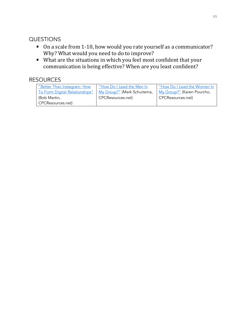# QUESTIONS

- On a scale from 1-10, how would you rate yourself as a communicator? Why? What would you need to do to improve?
- What are the situations in which you feel most confident that your communication is being effective? When are you least confident?

| "Better Than Instagram: How    | "How Do I Lead the Men In   | "How Do I Lead the Women In |
|--------------------------------|-----------------------------|-----------------------------|
| To Form Digital Relationships" | My Group?" (Mark Schuitema, | My Group?" (Karen Pourcho,  |
| (Bob Martin,                   | CPCResources.net)           | CPCResources.net)           |
| CPCResources.net)              |                             |                             |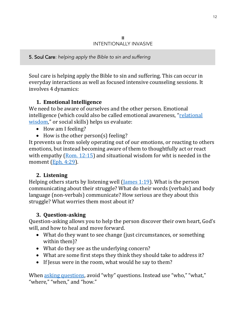5. Soul Care: *helping apply the Bible to sin and suffering*

Soul care is helping apply the Bible to sin and suffering. This can occur in everyday interactions as well as focused intensive counseling sessions. It involves 4 dynamics:

## **1. Emotional Intelligence**

We need to be aware of ourselves and the other person. Emotional intelligence (which could also be called emotional awareness, "[relational](https://rw360.org/emotional-intelligence/)  [wisdom](https://rw360.org/emotional-intelligence/)," or social skills) helps us evaluate:

- How am I feeling?
- How is the other person(s) feeling?

It prevents us from solely operating out of our emotions, or reacting to others emotions, but instead becoming aware of them to thoughtfully act or react with empathy (Rom. [12:15\)](https://www.biblegateway.com/passage/?search=Romans%2012%3A15&version=ESV) and situational wisdom for wht is needed in the moment [\(Eph. 4:29\)](https://www.biblegateway.com/passage/?search=eph+4%3A29&version=ESV).

#### **2. Listening**

Helping others starts by listening well [\(James 1:19\)](https://www.biblegateway.com/passage/?search=james+1%3A19&version=ESV). What is the person communicating about their struggle? What do their words (verbals) and body language (non-verbals) communicate? How serious are they about this struggle? What worries them most about it?

#### **3. Question-asking**

Question-asking allows you to help the person discover their own heart, God's will, and how to heal and move forward.

- What do they want to see change (just circumstances, or something within them)?
- What do they see as the underlying concern?
- What are some first steps they think they should take to address it?
- If Jesus were in the room, what would he say to them?

When [asking questions](https://cpcsmallgroups.net/did-you-miss-asking-good-questions/), avoid "why" questions. Instead use "who," "what," "where," "when," and "how."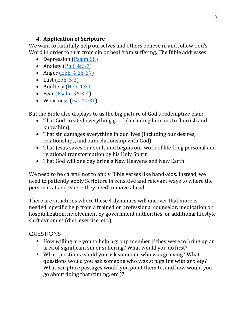# **4. Application of Scripture**

We want to faithfully help ourselves and others believe in and follow God's Word in order to turn from sin or heal from suffering. The Bible addresses:

- Depression [\(Psalm 88\)](https://www.biblegateway.com/passage/?search=ps+88&version=ESV)
- Anxiety  $(Phi. 4:6-7)$
- Anger (Eph.  $4:26-27$ )
- Lust  $(Eph. 5:3)$
- Adultery [\(Heb. 13:4\)](https://www.biblegateway.com/passage/?search=heb+13%3A4&version=ESV)
- Fear (Psalm  $56:3-4$ )
- Weariness [\(Isa. 40:31\)](https://www.biblegateway.com/passage/?search=isa+40%3A31&version=ESV)

But the Bible also displays to us the big picture of God's redemptive plan:

- That God created everything good (including humans to flourish and know him)
- That sin damages everything in our lives (including our desires, relationships, and our relationship with God)
- That Jesus saves our souls and begins our work of life-long personal and relational transformation by his Holy Spirit
- That God will one day bring a New Heavens and New Earth

We need to be careful not to apply Bible verses like band-aids. Instead, we need to patiently apply Scripture in sensitive and relevant ways to where the person is at and where they need to move ahead.

There are situations where these 4 dynamics will uncover that more is needed: specific help from a trained or professional counselor, medication or hospitalization, involvement by government authorities, or additional lifestyle shift dynamics (diet, exercise, etc.).

# QUESTIONS

- How willing are you to help a group member if they were to bring up an area of significant sin or suffering? What would you do first?
- What questions would you ask someone who was grieving? What questions would you ask someone who was struggling with anxiety? What Scripture passages would you point them to, and how would you go about doing that (timing, etc.)?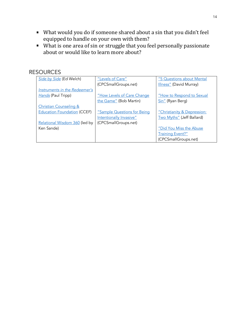- What would you do if someone shared about a sin that you didn't feel equipped to handle on your own with them?
- What is one area of sin or struggle that you feel personally passionate about or would like to learn more about?

| Side by Side (Ed Welch)            | "Levels of Care"                   | "5 Questions about Mental   |
|------------------------------------|------------------------------------|-----------------------------|
|                                    | (CPCSmallGroups.net)               | Illness" (David Murray)     |
| Instruments in the Redeemer's      |                                    |                             |
| Hands (Paul Tripp)                 | "How Levels of Care Change         | "How to Respond to Sexual   |
|                                    | the Game" (Bob Martin)             | Sin" (Ryan Berg)            |
| <b>Christian Counseling &amp;</b>  |                                    |                             |
| <b>Education Foundation (CCEF)</b> | <u>"Sample Questions for Beinq</u> | "Christianity & Depression: |
|                                    | Intentionally Invasive"            | Two Myths" (Jeff Ballard)   |
| Relational Wisdom 360 (led by      | (CPCSmallGroups.net)               |                             |
| Ken Sande)                         |                                    | "Did You Miss the Abuse     |
|                                    |                                    | <b>Training Event?"</b>     |
|                                    |                                    | (CPCSmallGroups.net)        |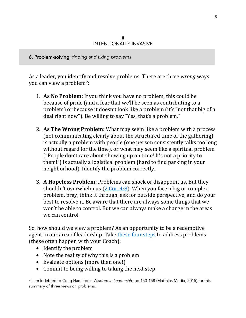6. Problem-solving: *finding and fixing problems*

ī

l

As a leader, you identify and resolve problems. There are three *wrong* ways you can view a problem2:

- 1. **As No Problem:** If you think you have no problem, this could be because of pride (and a fear that we'll be seen as contributing to a problem) or because it doesn't look like a problem (it's "not that big of a deal right now"). Be willing to say "Yes, that's a problem."
- 2. **As The Wrong Problem:** What may seem like a problem with a process (not communicating clearly about the structured time of the gathering) is actually a problem with people (one person consistently talks too long without regard for the time), or what may seem like a spiritual problem ("People don't care about showing up on time! It's not a priority to them!") is actually a logistical problem (hard to find parking in your neighborhood). Identify the problem correctly.
- 3. **A Hopeless Problem:** Problems can shock or disappoint us. But they shouldn't overwhelm us  $(2 \text{ Cor. } 4:8)$ . When you face a big or complex problem, pray, think it through, ask for outside perspective, and do your best to resolve it. Be aware that there are always some things that we won't be able to control. But we can always make a change in the areas we can control.

So, how should we view a problem? As an opportunity to be a redemptive agent in our area of leadership. Take [these four steps](https://cpcsmallgroups.net/coaching-using-the-g-r-o-w-model/) to address problems (these often happen with your Coach):

- Identify the problem
- Note the reality of why this is a problem
- Evaluate options (more than one!)
- Commit to being willing to taking the next step

<sup>2</sup> I am indebted to Craig Hamilton's *Wisdom in Leadership* pp.153-158 (Matthias Media, 2015) for this summary of three views on problems.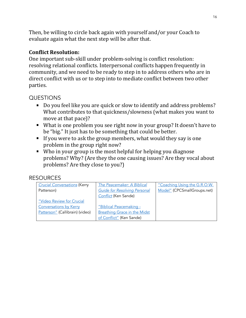Then, be willing to circle back again with yourself and/or your Coach to evaluate again what the next step will be after that.

## **Conflict Resolution:**

One important sub-skill under problem-solving is conflict resolution: resolving relational conflicts. Interpersonal conflicts happen frequently in community, and we need to be ready to step in to address others who are in direct conflict with us or to step into to mediate conflict between two other parties.

## QUESTIONS

- Do you feel like you are quick or slow to identify and address problems? What contributes to that quickness/slowness (what makes you want to move at that pace)?
- What is one problem you see right now in your group? It doesn't have to be "big." It just has to be something that could be better.
- If you were to ask the group members, what would they say is one problem in the group right now?
- Who in your group is the most helpful for helping you diagnose problems? Why? (Are they the one causing issues? Are they vocal about problems? Are they close to you?)

| <b>Crucial Conversations (Kerry</b> | The Peacemaker: A Biblical          | "Coaching Using the G.R.O.W. |
|-------------------------------------|-------------------------------------|------------------------------|
| Patterson)                          | <b>Guide for Resolving Personal</b> | Model" (CPCSmallGroups.net)  |
|                                     | Conflict (Ken Sande)                |                              |
| "Video Review for Crucial           |                                     |                              |
| <b>Conversations by Kerry</b>       | "Biblical Peacemaking -             |                              |
| Patterson" (Callibrain) (video)     | <b>Breathing Grace in the Midst</b> |                              |
|                                     | of Conflict" (Ken Sande)            |                              |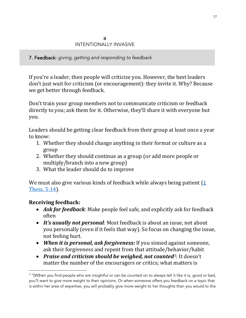7. Feedback: *giving, getting and responding to feedback*

If you're a leader, then people will criticize you. However, the best leaders don't just wait for criticism (or encouragement): they invite it. Why? Because we get better through feedback.

Don't train your group members not to communicate criticism or feedback directly to you; ask them for it. Otherwise, they'll share it with everyone but you.

Leaders should be getting clear feedback from their group at least once a year to know:

- 1. Whether they should change anything in their format or culture as a group
- 2. Whether they should continue as a group (or add more people or multiply/branch into a new group)
- 3. What the leader should do to improve

We must also give various kinds of feedback while always being patient  $(1$ [Thess. 5:14\)](https://www.biblegateway.com/passage/?search=1+Thessalonians+5%3A14&version=ESV).

# **Receiving feedback:**

ī

- *Ask for feedback:* Make people feel safe, and explicitly ask for feedback often
- *It's usually not personal:* Most feedback is about an issue, not about you personally (even if it feels that way). So focus on changing the issue, not feeling hurt.
- *When it is personal, ask forgiveness:* If you sinned against someone, ask their forgiveness and repent from that attitude/behavior/habit
- *Praise and criticism should be weighed, not counted*3: It doesn't matter the number of the encouragers or critics; what matters is

<sup>&</sup>lt;sup>3</sup> "[W]hen you find people who are insightful or can be counted on to always tell it like it is, good or bad, you'll want to give more weight to their opinions. Or when someone offers you feedback on a topic that is within her area of expertise, you will probably give more weight to her thoughts than you would to the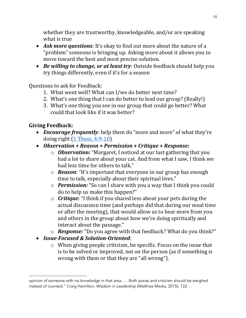whether they are trustworthy, knowledgeable, and/or are speaking what is true

- *Ask more questions*: It's okay to find out more about the nature of a "problem" someone is bringing up. Asking more about it allows you to move toward the best and most precise solution.
- *Be willing to change, or at least try*: Outside feedback should help you try things differently, even if it's for a season

Questions to ask for Feedback:

- 1. What went well? What can I/we do better next time?
- 2. What's one thing that I can do better to lead our group? (Really!)
- 3. What's one thing you see in our group that could go better? What could that look like if it was better?

# **Giving Feedback:**

- *Encourage frequently*: help them do "more and more" of what they're doing right  $(1$  Thess. 4:9-10)
- *Observation + Reason + Permission + Critique + Response:*
	- o *Observation:* "Margaret, I noticed at our last gathering that you had a lot to share about your cat. And from what I saw, I think we had less time for others to talk."
	- o *Reason*: "It's important that everyone in our group has enough time to talk, especially about their spiritual lives."
	- o *Permission:* "So can I share with you a way that I think you could do to help us make this happen?"
	- o *Critique*: "I think if you shared less about your pets during the actual discussion time (and perhaps did that during our meal time or after the meeting), that would allow us to hear more from you and others in the group about how we're doing spiritually and interact about the passage."
	- o *Response:* "Do you agree with that feedback? What do you think?"
- *Issue-Focused & Solution-Oriented*:
	- o When giving people criticism, be specific. Focus on the issue that is to be solved or improved, not on the person (as if something is wrong with them or that they are "all wrong").

opinion of someone with no knowledge in that area. … Both praise and criticism should be weighed instead of counted." Craig Hamilton, *Wisdom in Leadership* (Matthias Media, 2015), 132.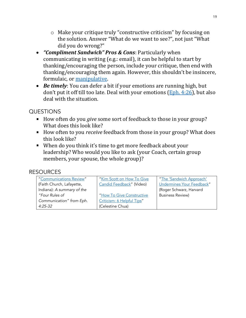- o Make your critique truly "constructive criticism" by focusing on the solution. Answer "What do we want to see?", not just "What did you do wrong?"
- *"Compliment Sandwich" Pros & Cons*: Particularly when communicating in writing (e.g.: email), it can be helpful to start by thanking/encouraging the person, include your critique, then end with thanking/encouraging them again. However, this shouldn't be insincere, formulaic, or [manipulative.](https://hbr.org/2013/04/the-sandwich-approach-undermin)
- *Be timely*: You can defer a bit if your emotions are running high, but don't put it off till too late. Deal with your emotions ( $Eph. 4:26$ ), but also deal with the situation.

# QUESTIONS

- How often do you *give* some sort of feedback to those in your group? What does this look like?
- How often to you *receive* feedback from those in your group? What does this look like?
- When do you think it's time to get more feedback about your leadership? Who would you like to ask (your Coach, certain group members, your spouse, the whole group)?

| "Communications Review"    | "Kim Scott on How To Give  | "The 'Sandwich Approach'  |
|----------------------------|----------------------------|---------------------------|
| (Faith Church, Lafayette,  | Candid Feedback" (Video)   | Undermines Your Feedback" |
| Indiana): A summary of the |                            | (Roger Schwarz, Harvard   |
| "Four Rules of             | "How To Give Constructive  | <b>Business Review)</b>   |
| Communication" from Eph.   | Criticism: 6 Helpful Tips" |                           |
| $4:25-32$                  | (Celestine Chua)           |                           |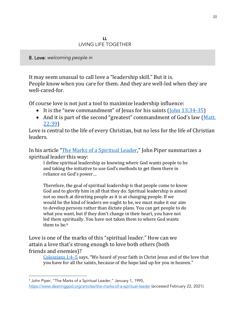8. Love: *welcoming people in*

It may seem unusual to call love a "leadership skill." But it is. People know when you care for them. And they are well-led when they are well-cared-for.

Of course love is not just a tool to maximize leadership influence:

- It is the "new commandment" of Jesus for his saints ([John 13:34-35\)](https://www.biblegateway.com/passage/?search=jn+13%3A34-35&version=ESV)
- And it is part of the second "greatest" commandment of God's law ([Matt.](https://www.biblegateway.com/passage/?search=matt+22%3A39&version=ESV)  [22:39\)](https://www.biblegateway.com/passage/?search=matt+22%3A39&version=ESV)

Love is central to the life of every Christian, but no less for the life of Christian leaders.

In his article "[The Marks of a Spiritual Leader](https://www.desiringgod.org/articles/the-marks-of-a-spiritual-leader)," John Piper summarizes a spiritual leader this way:

I define spiritual leadership as knowing where God wants people to be and taking the initiative to use God's methods to get them there in reliance on God's power…

Therefore, the goal of spiritual leadership is that people come to know God and to glorify him in all that they do. Spiritual leadership is aimed not so much at directing people as it is at changing people. If we would be the kind of leaders we ought to be, we must make it our aim to develop persons rather than dictate plans. You can get people to do what you want, but if they don't change in their heart, you have not led them spiritually. You have not taken them to where God wants them to be.<sup>4</sup>

Love is one of the marks of this "spiritual leader." How can we attain a love that's strong enough to love both others (both friends and enemies)?

[Colossians 1:4](https://biblia.com/bible/esv/Col%201.4%E2%80%935)–5 says, "We heard of your faith in Christ Jesus and of the love that you have for all the saints, because of the hope laid up for you in heaven."

<sup>4</sup> John Piper, "The Marks of a Spiritual Leader," January 1, 1995, <https://www.desiringgod.org/articles/the-marks-of-a-spiritual-leader> (accessed February 22, 2021).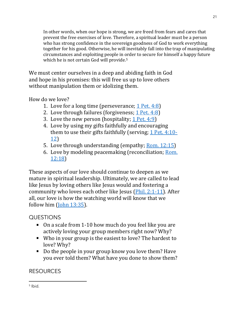In other words, when our hope is strong, we are freed from fears and cares that prevent the free exercises of love. Therefore, a spiritual leader must be a person who has strong confidence in the sovereign goodness of God to work everything together for his good. Otherwise, he will inevitably fall into the trap of manipulating circumstances and exploiting people in order to secure for himself a happy future which he is not certain God will provide.<sup>5</sup>

We must center ourselves in a deep and abiding faith in God and hope in his promises: this will free us up to love others without manipulation them or idolizing them.

How do we love?

- 1. Love for a long time (perseverance; [1 Pet. 4:8\)](https://www.biblegateway.com/passage/?search=1+pet+4%3A8&version=ESV)
- 2. Love through failures (forgiveness; [1 Pet. 4:8\)](https://www.biblegateway.com/passage/?search=1+Peter+4%3A8&version=ESV)
- 3. Love the new person (hospitality; [1 Pet. 4:9\)](https://www.biblegateway.com/passage/?search=1+Peter+4%3A9&version=ESV)
- 4. Love by using my gifts faithfully and encouraging them to use their gifts faithfully (serving; [1 Pet. 4:10-](https://www.biblegateway.com/passage/?search=1+Peter+4%3A10-12&version=ESV) [12\)](https://www.biblegateway.com/passage/?search=1+Peter+4%3A10-12&version=ESV)
- 5. Love through understanding (empathy; <u>Rom. 12:15</u>)
- 6. Love by modeling peacemaking (reconciliation; [Rom.](https://www.biblegateway.com/passage/?search=rom+12%3A18&version=ESV)  [12:18\)](https://www.biblegateway.com/passage/?search=rom+12%3A18&version=ESV)

These aspects of our love should continue to deepen as we mature in spiritual leadership. Ultimately, we are called to lead like Jesus by loving others like Jesus would and fostering a community who loves each other like Jesus [\(Phil. 2:1-11\)](https://www.biblegateway.com/passage/?search=phil+2%3A1-11&version=ESV). After all, our love is how the watching world will know that we follow him  $(John 13:35)$ .

# QUESTIONS

- On a scale from 1-10 how much do you feel like you are actively loving your group members right now? Why?
- Who in your group is the easiest to love? The hardest to love? Why?
- Do the people in your group know you love them? Have you ever told them? What have you done to show them?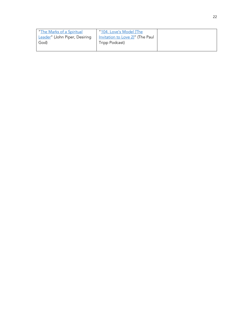| "The Marks of a Spiritual     | "104. Love's Model [The          |
|-------------------------------|----------------------------------|
| Leader" (John Piper, Desiring | Invitation to Love 2]" (The Paul |
| God)                          | Tripp Podcast)                   |
|                               |                                  |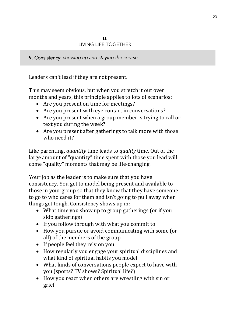9. Consistency: *showing up and staying the course*

Leaders can't lead if they are not present.

This may seem obvious, but when you stretch it out over months and years, this principle applies to lots of scenarios:

- Are you present on time for meetings?
- Are you present with eye contact in conversations?
- Are you present when a group member is trying to call or text you during the week?
- Are you present after gatherings to talk more with those who need it?

Like parenting, *quantity* time leads to *quality* time. Out of the large amount of "quantity" time spent with those you lead will come "quality" moments that may be life-changing.

Your job as the leader is to make sure that you have consistency. You get to model being present and available to those in your group so that they know that they have someone to go to who cares for them and isn't going to pull away when things get tough. Consistency shows up in:

- What time you show up to group gatherings (or if you skip gatherings)
- If you follow through with what you commit to
- How you pursue or avoid communicating with some (or all) of the members of the group
- If people feel they rely on you
- How regularly you engage your spiritual disciplines and what kind of spiritual habits you model
- What kinds of conversations people expect to have with you (sports? TV shows? Spiritual life?)
- How you react when others are wrestling with sin or grief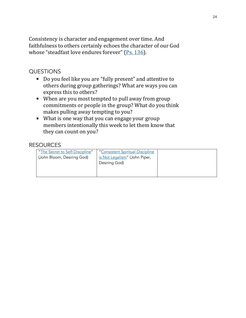Consistency is character and engagement over time. And faithfulness to others certainly echoes the character of our God whose "steadfast love endures forever" [\(Ps. 136\)](https://www.biblegateway.com/passage/?search=ps+136&version=ESV).

## QUESTIONS

- Do you feel like you are "fully present" and attentive to others during group gatherings? What are ways you can express this to others?
- When are you most tempted to pull away from group commitments or people in the group? What do you think makes pulling away tempting to you?
- What is one way that you can engage your group members intentionally this week to let them know that they can count on you?

| "The Secret to Self-Discipline" | "Consistent Spiritual Discipline |  |
|---------------------------------|----------------------------------|--|
| (John Bloom, Desiring God)      | is Not Legalism" (John Piper,    |  |
|                                 | Desiring God)                    |  |
|                                 |                                  |  |
|                                 |                                  |  |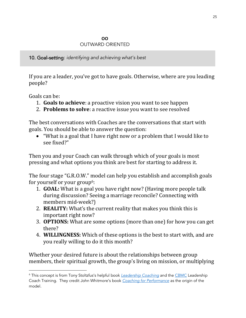#### **OO** OUTWARD ORIENTED

10. Goal-setting: *identifying and achieving what's best*

If you are a leader, you've got to have goals. Otherwise, where are you leading people?

Goals can be:

- 1. **Goals to achieve**: a proactive vision you want to see happen
- 2. **Problems to solve**: a reactive issue you want to see resolved

The best conversations with Coaches are the conversations that start with goals. You should be able to answer the question:

• "What is a goal that I have right now or a problem that I would like to see fixed?"

Then you and your Coach can walk through which of your goals is most pressing and what options you think are best for starting to address it.

The four stage "G.R.O.W." model can help you establish and accomplish goals for yourself or your group<sup>6</sup>:

- 1. **GOAL:** What is a goal you have right now? (Having more people talk during discussion? Seeing a marriage reconcile? Connecting with members mid-week?)
- 2. **REALITY:** What's the current reality that makes you think this is important right now?
- 3. **OPTIONS:** What are some options (more than one) for how you can get there?
- 4. **WILLINGNESS:** Which of these options is the best to start with, and are you really willing to do it this month?

Whether your desired future is about the relationships between group members, their spiritual growth, the group's living on mission, or multiplying

<sup>6</sup> This concept is from Tony Stoltzfus's helpful book *[Leadership Coaching](https://www.amazon.com/Leadership-Coaching-Disciplines-Skills-Christian/dp/1419610503)* and the [CBMC](https://www.cbmc.com/) Leadership Coach Training. They credit John Whitmore's book *[Coaching for Performance](https://www.amazon.com/Coaching-Performance-Potential-Principles-Leadership/dp/185788535X)* as the origin of the model.